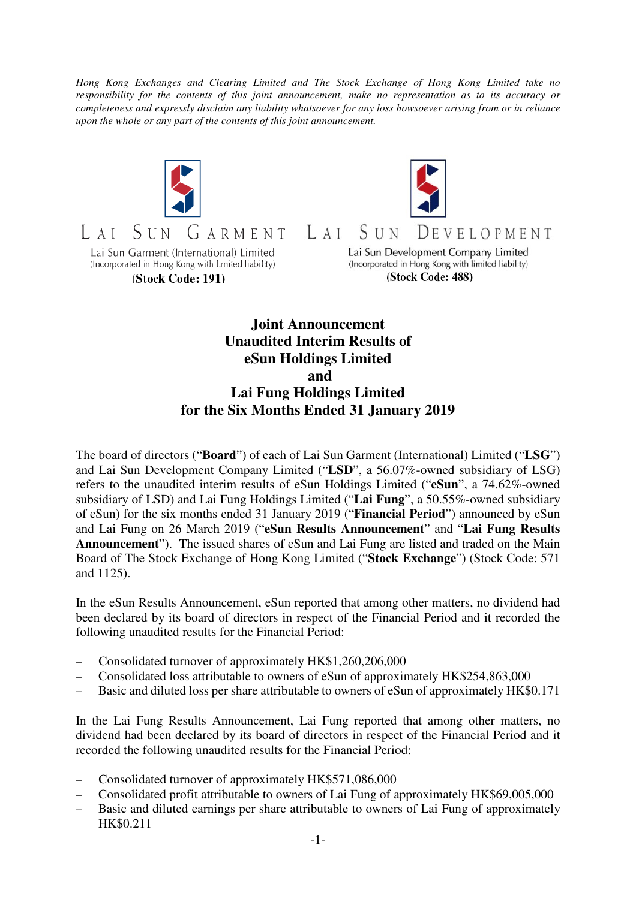*Hong Kong Exchanges and Clearing Limited and The Stock Exchange of Hong Kong Limited take no responsibility for the contents of this joint announcement, make no representation as to its accuracy or completeness and expressly disclaim any liability whatsoever for any loss howsoever arising from or in reliance upon the whole or any part of the contents of this joint announcement.* 



## **Joint Announcement Unaudited Interim Results of eSun Holdings Limited and Lai Fung Holdings Limited for the Six Months Ended 31 January 2019**

The board of directors ("**Board**") of each of Lai Sun Garment (International) Limited ("**LSG**") and Lai Sun Development Company Limited ("**LSD**", a 56.07%-owned subsidiary of LSG) refers to the unaudited interim results of eSun Holdings Limited ("**eSun**", a 74.62%-owned subsidiary of LSD) and Lai Fung Holdings Limited ("**Lai Fung**", a 50.55%-owned subsidiary of eSun) for the six months ended 31 January 2019 ("**Financial Period**") announced by eSun and Lai Fung on 26 March 2019 ("**eSun Results Announcement**" and "**Lai Fung Results Announcement**"). The issued shares of eSun and Lai Fung are listed and traded on the Main Board of The Stock Exchange of Hong Kong Limited ("**Stock Exchange**") (Stock Code: 571 and 1125).

In the eSun Results Announcement, eSun reported that among other matters, no dividend had been declared by its board of directors in respect of the Financial Period and it recorded the following unaudited results for the Financial Period:

- Consolidated turnover of approximately HK\$1,260,206,000
- Consolidated loss attributable to owners of eSun of approximately HK\$254,863,000
- Basic and diluted loss per share attributable to owners of eSun of approximately HK\$0.171

In the Lai Fung Results Announcement, Lai Fung reported that among other matters, no dividend had been declared by its board of directors in respect of the Financial Period and it recorded the following unaudited results for the Financial Period:

- Consolidated turnover of approximately HK\$571,086,000
- Consolidated profit attributable to owners of Lai Fung of approximately HK\$69,005,000
- Basic and diluted earnings per share attributable to owners of Lai Fung of approximately HK\$0.211